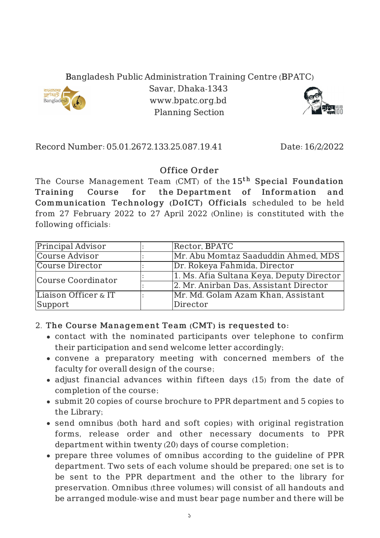Bangladesh Public Administration Training Centre (BPATC)



Savar, Dhaka-1343 www.bpatc.org.bd Planning Section



## Record Number: 05.01.2672.133.25.087.19.41 Date: 16/2/2022

## Office Order

The Course Management Team (CMT) of the  $15^{\rm th}$  Special Foundation Training Course for the Department of Information and Communication Technology (DoICT) Officials scheduled to be held from 27 February 2022 to 27 April 2022 (Online) is constituted with the following officials:

| <b>Principal Advisor</b> | Rector, BPATC                             |
|--------------------------|-------------------------------------------|
| Course Advisor           | Mr. Abu Momtaz Saaduddin Ahmed, MDS       |
| Course Director          | Dr. Rokeya Fahmida, Director              |
| Course Coordinator       | 1. Ms. Afia Sultana Keya, Deputy Director |
|                          | 2. Mr. Anirban Das, Assistant Director    |
| Liaison Officer & IT     | Mr. Md. Golam Azam Khan, Assistant        |
| Support                  | Director                                  |

## 2. The Course Management Team (CMT) is requested to:

- contact with the nominated participants over telephone to confirm their participation and send welcome letter accordingly;
- convene a preparatory meeting with concerned members of the faculty for overall design of the course;
- adjust financial advances within fifteen days (15) from the date of completion of the course;
- submit 20 copies of course brochure to PPR department and 5 copies to the Library;
- send omnibus (both hard and soft copies) with original registration forms, release order and other necessary documents to PPR department within twenty (20) days of course completion;
- prepare three volumes of omnibus according to the guideline of PPR department. Two sets of each volume should be prepared; one set is to be sent to the PPR department and the other to the library for preservation. Omnibus (three volumes) will consist of all handouts and be arranged module-wise and must bear page number and there will be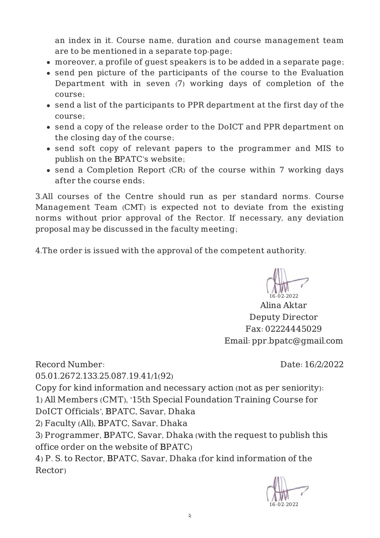an index in it. Course name, duration and course management team are to be mentioned in a separate top-page;

- moreover, a profile of guest speakers is to be added in a separate page;
- send pen picture of the participants of the course to the Evaluation Department with in seven (7) working days of completion of the course;
- send a list of the participants to PPR department at the first day of the course;
- send a copy of the release order to the DoICT and PPR department on the closing day of the course;
- send soft copy of relevant papers to the programmer and MIS to publish on the BPATC's website;
- send a Completion Report (CR) of the course within 7 working days after the course ends;

3.All courses of the Centre should run as per standard norms. Course Management Team (CMT) is expected not to deviate from the existing norms without prior approval of the Rector. If necessary, any deviation proposal may be discussed in the faculty meeting;

4.The order is issued with the approval of the competent authority.

16-02-2022

Alina Aktar Deputy Director Fax: 02224445029 Email: ppr.bpatc@gmail.com

Record Number: 05.01.2672.133.25.087.19.41/1(92) Date: 16/2/2022

Copy for kind information and necessary action (not as per seniority):

1) All Members (CMT), '15th Special Foundation Training Course for DoICT Officials', BPATC, Savar, Dhaka

2) Faculty (All), BPATC, Savar, Dhaka

3) Programmer, BPATC, Savar, Dhaka (with the request to publish this office order on the website of BPATC)

4) P. S. to Rector, BPATC, Savar, Dhaka (for kind information of the Rector)